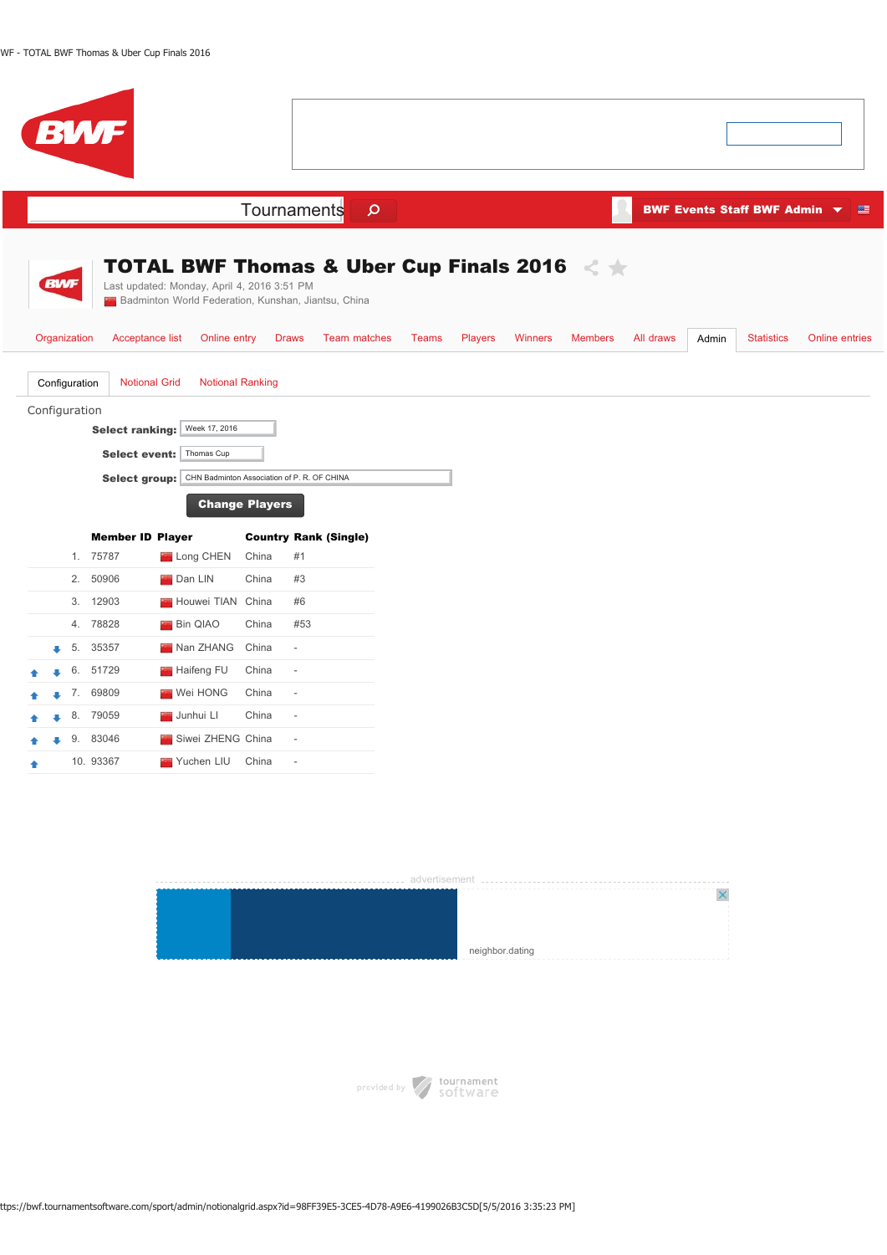| BWF                                                                                                                                                             |                                                                                                                     |         |                                  |                             |                                                 |                |
|-----------------------------------------------------------------------------------------------------------------------------------------------------------------|---------------------------------------------------------------------------------------------------------------------|---------|----------------------------------|-----------------------------|-------------------------------------------------|----------------|
|                                                                                                                                                                 | Tournaments                                                                                                         | $\circ$ |                                  |                             | BWF Events Staff BWF Admin $\blacktriangledown$ | 等              |
| <b>BWF</b><br>Last updated: Monday, April 4, 2016 3:51 PM                                                                                                       | <b>TOTAL BWF Thomas &amp; Uber Cup Finals 2016</b><br><b>24</b> Badminton World Federation, Kunshan, Jiantsu, China |         |                                  |                             |                                                 |                |
| Organization<br>Acceptance list<br>Online entry                                                                                                                 | Team matches<br><b>Draws</b>                                                                                        | Teams   | <b>Players</b><br><b>Winners</b> | <b>Members</b><br>All draws | <b>Statistics</b><br>Admin                      | Online entries |
| <b>Notional Grid</b><br>Configuration<br>Configuration<br>Week 17, 2016<br><b>Select ranking:</b><br>Thomas Cup<br><b>Select event:</b><br><b>Select group:</b> | <b>Notional Ranking</b><br>CHN Badminton Association of P. R. OF CHINA<br><b>Change Players</b>                     |         |                                  |                             |                                                 |                |
| <b>Member ID Player</b>                                                                                                                                         | <b>Country Rank (Single)</b>                                                                                        |         |                                  |                             |                                                 |                |
| 1. 75787<br>Long CHEN                                                                                                                                           | China<br>#1                                                                                                         |         |                                  |                             |                                                 |                |
| 2.<br>50906<br><b>Dan LIN</b>                                                                                                                                   | #3<br>China                                                                                                         |         |                                  |                             |                                                 |                |
| 3. 12903<br>Houwei TIAN China<br>78828<br><b>Bin QIAO</b><br>4.                                                                                                 | #6<br>China<br>#53                                                                                                  |         |                                  |                             |                                                 |                |
| 35357<br>Nan ZHANG<br>5.                                                                                                                                        | China<br>$\overline{\phantom{a}}$                                                                                   |         |                                  |                             |                                                 |                |
| 51729<br>6.<br>Haifeng FU                                                                                                                                       | China<br>$\frac{1}{2}$                                                                                              |         |                                  |                             |                                                 |                |
| 7. 69809<br><b>Wei HONG</b>                                                                                                                                     | China<br>$\frac{1}{2}$                                                                                              |         |                                  |                             |                                                 |                |
| 79059<br>8.<br>Junhui LI                                                                                                                                        | China<br>L,                                                                                                         |         |                                  |                             |                                                 |                |
| 83046<br>Siwei ZHENG China<br>9.                                                                                                                                | $\frac{1}{2}$                                                                                                       |         |                                  |                             |                                                 |                |
| 10. 93367<br>Yuchen LIU<br>٠                                                                                                                                    | China<br>ä,                                                                                                         |         |                                  |                             |                                                 |                |



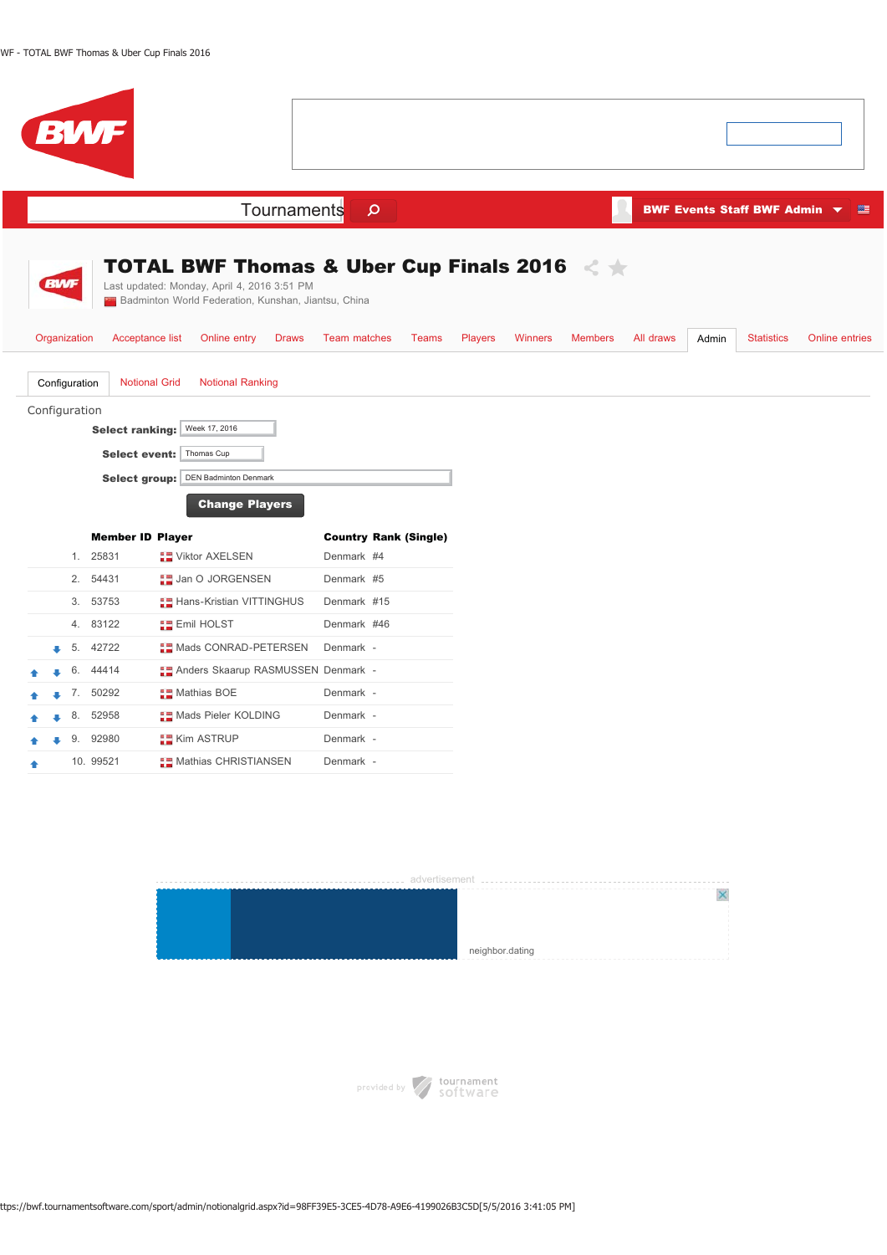| <b>BWF</b>                                                                                                                                                                       |                              |                                  |                             |                                                     |
|----------------------------------------------------------------------------------------------------------------------------------------------------------------------------------|------------------------------|----------------------------------|-----------------------------|-----------------------------------------------------|
| Tournaments                                                                                                                                                                      | $\mathsf{\Omega}$            |                                  |                             | BWF Events Staff BWF Admin ▼<br>壁                   |
| <b>TOTAL BWF Thomas &amp; Uber Cup Finals 2016</b> < $\star$<br><b>BWF</b><br>Last updated: Monday, April 4, 2016 3:51 PM<br>Badminton World Federation, Kunshan, Jiantsu, China |                              |                                  |                             |                                                     |
| Organization<br>Acceptance list<br>Online entry<br><b>Draws</b>                                                                                                                  | Team matches<br><b>Teams</b> | <b>Players</b><br><b>Winners</b> | <b>Members</b><br>All draws | Admin<br><b>Statistics</b><br><b>Online entries</b> |
| Configuration<br><b>Notional Grid</b><br><b>Notional Ranking</b><br>Configuration                                                                                                |                              |                                  |                             |                                                     |
| Week 17, 2016<br><b>Select ranking:</b>                                                                                                                                          |                              |                                  |                             |                                                     |
| Thomas Cup<br><b>Select event:</b>                                                                                                                                               |                              |                                  |                             |                                                     |
| <b>DEN Badminton Denmark</b><br><b>Select group:</b>                                                                                                                             |                              |                                  |                             |                                                     |
| <b>Change Players</b>                                                                                                                                                            |                              |                                  |                             |                                                     |
| <b>Member ID Player</b>                                                                                                                                                          | <b>Country Rank (Single)</b> |                                  |                             |                                                     |
| 1. 25831<br><b>THE Viktor AXELSEN</b>                                                                                                                                            | Denmark #4                   |                                  |                             |                                                     |
| 2.<br>54431<br><b>ED</b> Jan O JORGENSEN                                                                                                                                         | Denmark #5                   |                                  |                             |                                                     |
| 3.<br>53753<br><b>Hans-Kristian VITTINGHUS</b>                                                                                                                                   | Denmark #15                  |                                  |                             |                                                     |
| 83122<br>4.<br><b>ERE</b> Emil HOLST                                                                                                                                             | Denmark #46                  |                                  |                             |                                                     |
| <b>THE Mads CONRAD-PETERSEN</b><br>42722<br>5.                                                                                                                                   | Denmark -                    |                                  |                             |                                                     |
| 44414<br><b>Anders Skaarup RASMUSSEN Denmark -</b><br>6.<br>7. 50292                                                                                                             | Denmark -                    |                                  |                             |                                                     |
| <b>Mathias BOE</b><br>52958<br><b>Mads Pieler KOLDING</b><br>8.                                                                                                                  | Denmark -                    |                                  |                             |                                                     |
| 9.<br>92980<br><b>Kim ASTRUP</b>                                                                                                                                                 | Denmark -                    |                                  |                             |                                                     |
| 10. 99521<br><b>THE Mathias CHRISTIANSEN</b>                                                                                                                                     | Denmark -                    |                                  |                             |                                                     |

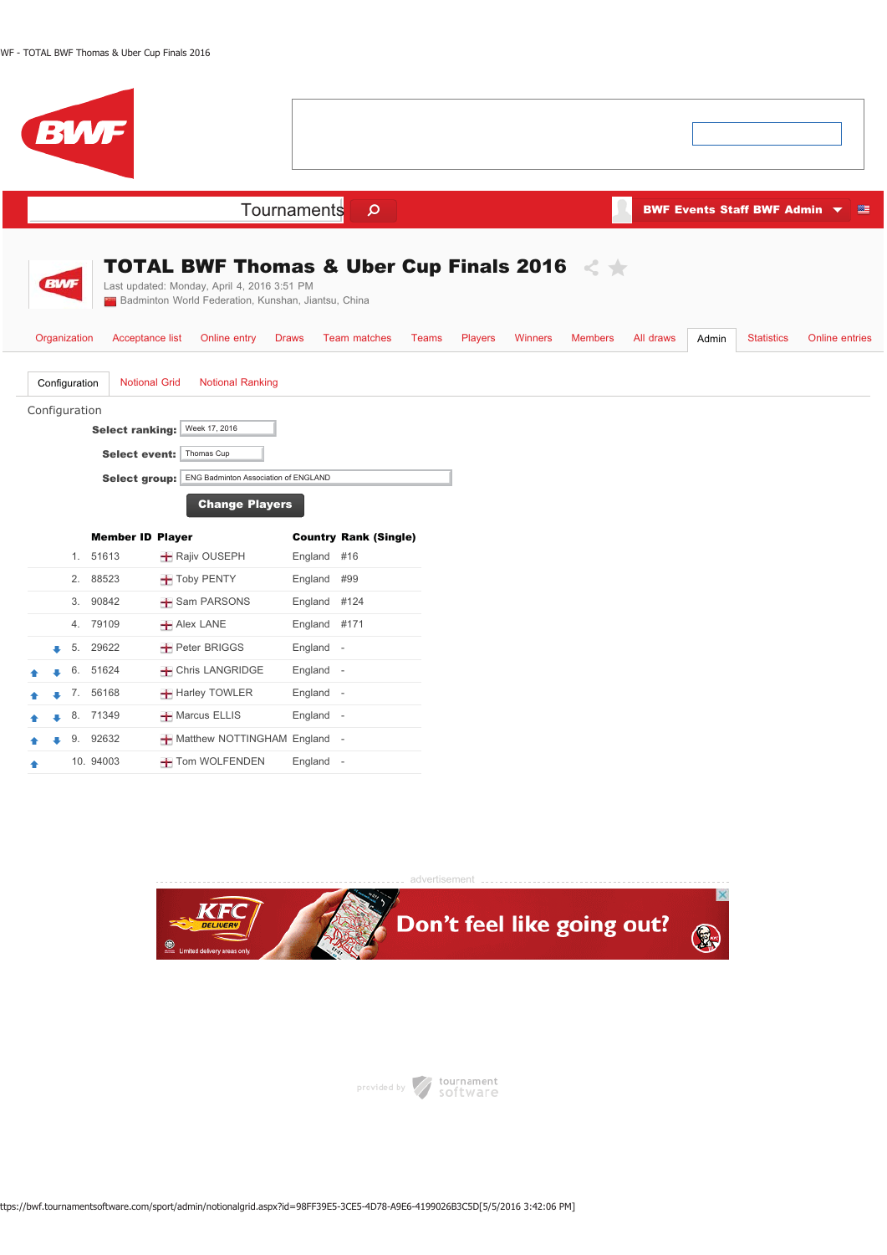|  |                                                | <b>BWF</b>                                                                                |                                                                                                                                                                    |              |                              |              |                |                |                |           |       |                              |                |
|--|------------------------------------------------|-------------------------------------------------------------------------------------------|--------------------------------------------------------------------------------------------------------------------------------------------------------------------|--------------|------------------------------|--------------|----------------|----------------|----------------|-----------|-------|------------------------------|----------------|
|  |                                                |                                                                                           |                                                                                                                                                                    | Tournaments  | $\mathsf{\Omega}$            |              |                |                |                |           |       | BWF Events Staff BWF Admin v | 等              |
|  | <b>BWF</b>                                     |                                                                                           | <b>TOTAL BWF Thomas &amp; Uber Cup Finals 2016</b> < $\star$<br>Last updated: Monday, April 4, 2016 3:51 PM<br>Badminton World Federation, Kunshan, Jiantsu, China |              |                              |              |                |                |                |           |       |                              |                |
|  | Organization<br>Configuration<br>Configuration | Acceptance list<br><b>Notional Grid</b><br><b>Select ranking:</b><br><b>Select event:</b> | Online entry<br><b>Notional Ranking</b><br>Week 17, 2016<br>Thomas Cup<br>Select group: ENG Badminton Association of ENGLAND<br><b>Change Players</b>              | <b>Draws</b> | <b>Team matches</b>          | <b>Teams</b> | <b>Players</b> | <b>Winners</b> | <b>Members</b> | All draws | Admin | <b>Statistics</b>            | Online entries |
|  |                                                | <b>Member ID Player</b>                                                                   |                                                                                                                                                                    |              | <b>Country Rank (Single)</b> |              |                |                |                |           |       |                              |                |
|  |                                                | 1. 51613                                                                                  | <b>+</b> Rajiv OUSEPH                                                                                                                                              | England #16  |                              |              |                |                |                |           |       |                              |                |
|  | 2.                                             | 88523                                                                                     | Toby PENTY                                                                                                                                                         | England #99  |                              |              |                |                |                |           |       |                              |                |
|  |                                                | 3. 90842                                                                                  | Sam PARSONS                                                                                                                                                        | England #124 |                              |              |                |                |                |           |       |                              |                |
|  | 4.                                             | 79109                                                                                     | <b>+</b> Alex LANE                                                                                                                                                 | England #171 |                              |              |                |                |                |           |       |                              |                |
|  |                                                | 5. 29622                                                                                  | <b>+</b> Peter BRIGGS                                                                                                                                              | England -    |                              |              |                |                |                |           |       |                              |                |
|  | 6.                                             | 51624                                                                                     | - Chris LANGRIDGE                                                                                                                                                  | England -    |                              |              |                |                |                |           |       |                              |                |
|  |                                                | 7. 56168                                                                                  | <b>+</b> Harley TOWLER                                                                                                                                             | England -    |                              |              |                |                |                |           |       |                              |                |
|  | 8.                                             | 71349                                                                                     | <b>+</b> Marcus ELLIS                                                                                                                                              | England -    |                              |              |                |                |                |           |       |                              |                |
|  | 9.                                             | 92632                                                                                     | - Matthew NOTTINGHAM England -                                                                                                                                     |              |                              |              |                |                |                |           |       |                              |                |
|  |                                                | 10. 94003                                                                                 | Tom WOLFENDEN                                                                                                                                                      | England -    |                              |              |                |                |                |           |       |                              |                |



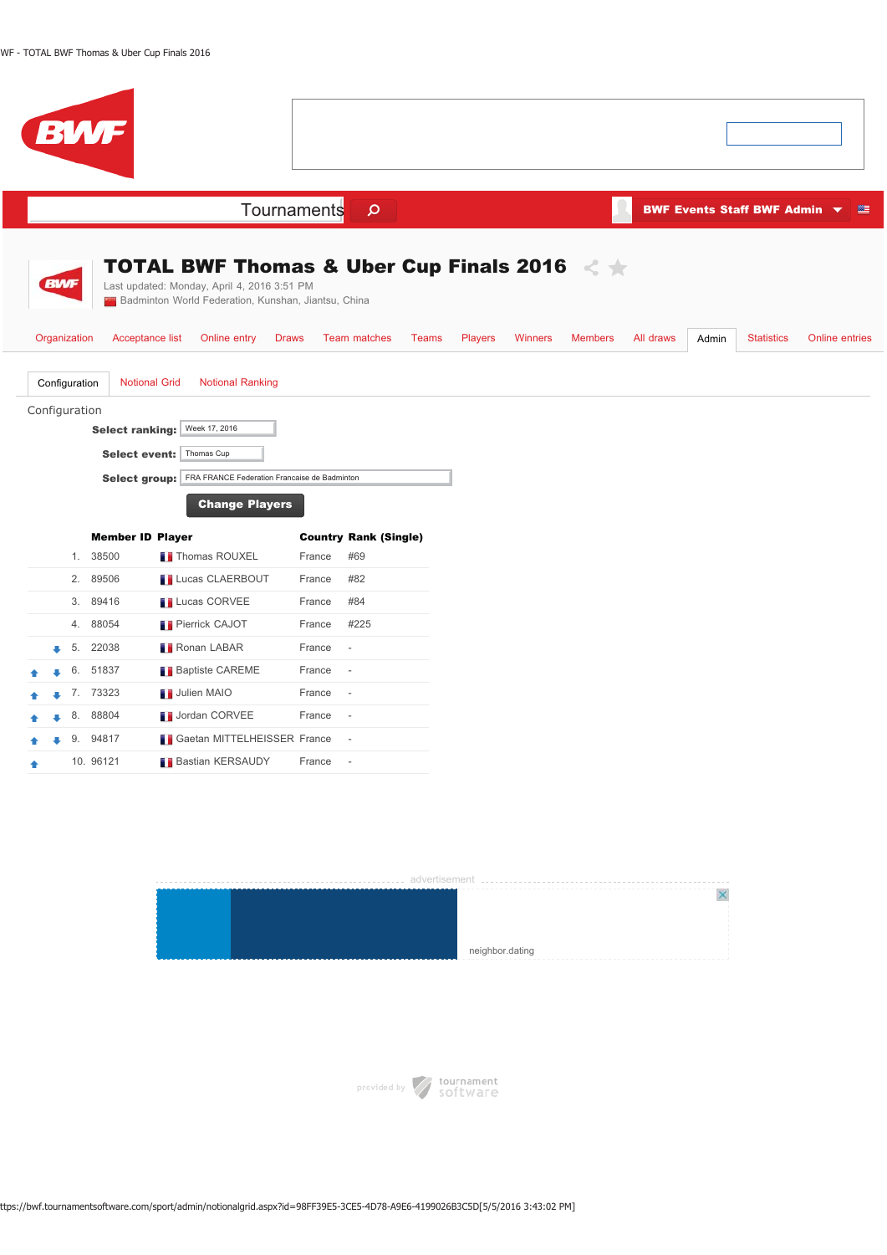|            |                                | <b>BWF</b>                                                             |                                                                                                                                                                                          |        |                              |                |                |                |           |       |                                                 |                       |
|------------|--------------------------------|------------------------------------------------------------------------|------------------------------------------------------------------------------------------------------------------------------------------------------------------------------------------|--------|------------------------------|----------------|----------------|----------------|-----------|-------|-------------------------------------------------|-----------------------|
|            |                                |                                                                        | Tournaments                                                                                                                                                                              |        | $\mathbf{\Omega}$            |                |                |                |           |       | BWF Events Staff BWF Admin $\blacktriangledown$ | 壁                     |
| <b>BWF</b> | Organization                   | Acceptance list                                                        | <b>TOTAL BWF Thomas &amp; Uber Cup Finals 2016</b><br>Last updated: Monday, April 4, 2016 3:51 PM<br>Badminton World Federation, Kunshan, Jiantsu, China<br>Online entry<br><b>Draws</b> |        | <b>Team matches</b><br>Teams | <b>Players</b> | <b>Winners</b> | <b>Members</b> | All draws | Admin | <b>Statistics</b>                               | <b>Online entries</b> |
|            | Configuration<br>Configuration | <b>Notional Grid</b><br><b>Select ranking:</b><br><b>Select group:</b> | <b>Notional Ranking</b><br>Week 17, 2016<br>Select event: Thomas Cup<br>FRA FRANCE Federation Francaise de Badminton<br><b>Change Players</b>                                            |        |                              |                |                |                |           |       |                                                 |                       |
|            |                                | <b>Member ID Player</b>                                                |                                                                                                                                                                                          |        | <b>Country Rank (Single)</b> |                |                |                |           |       |                                                 |                       |
|            | 1.                             | 38500                                                                  | <b>Thomas ROUXEL</b>                                                                                                                                                                     | France | #69                          |                |                |                |           |       |                                                 |                       |
|            | 2.                             | 89506                                                                  | <b>Lucas CLAERBOUT</b>                                                                                                                                                                   | France | #82                          |                |                |                |           |       |                                                 |                       |
|            | 3.                             | 89416                                                                  | <b>Lucas CORVEE</b>                                                                                                                                                                      | France | #84                          |                |                |                |           |       |                                                 |                       |
|            | 4.                             | 88054                                                                  | <b>Pierrick CAJOT</b>                                                                                                                                                                    | France | #225                         |                |                |                |           |       |                                                 |                       |
| s          | 5.                             | 22038                                                                  | <b>Ronan LABAR</b>                                                                                                                                                                       | France | $\overline{\phantom{a}}$     |                |                |                |           |       |                                                 |                       |
|            | 6.                             | 51837                                                                  | <b>Baptiste CAREME</b>                                                                                                                                                                   | France | $\overline{\phantom{a}}$     |                |                |                |           |       |                                                 |                       |
|            |                                | 7. 73323                                                               | Julien MAIO                                                                                                                                                                              | France | $\overline{\phantom{a}}$     |                |                |                |           |       |                                                 |                       |
|            | 8.                             | 88804                                                                  | Jordan CORVEE                                                                                                                                                                            | France | $\overline{\phantom{a}}$     |                |                |                |           |       |                                                 |                       |
|            | 9.                             | 94817                                                                  | Gaetan MITTELHEISSER France                                                                                                                                                              |        | $\overline{\phantom{a}}$     |                |                |                |           |       |                                                 |                       |
|            |                                | 10. 96121                                                              | <b>Bastian KERSAUDY</b>                                                                                                                                                                  | France | $\sim$                       |                |                |                |           |       |                                                 |                       |





ttps://bwf.tournamentsoftware.com/sport/admin/notionalgrid.aspx?id=98FF39E5-3CE5-4D78-A9E6-4199026B3C5D[5/5/2016 3:43:02 PM]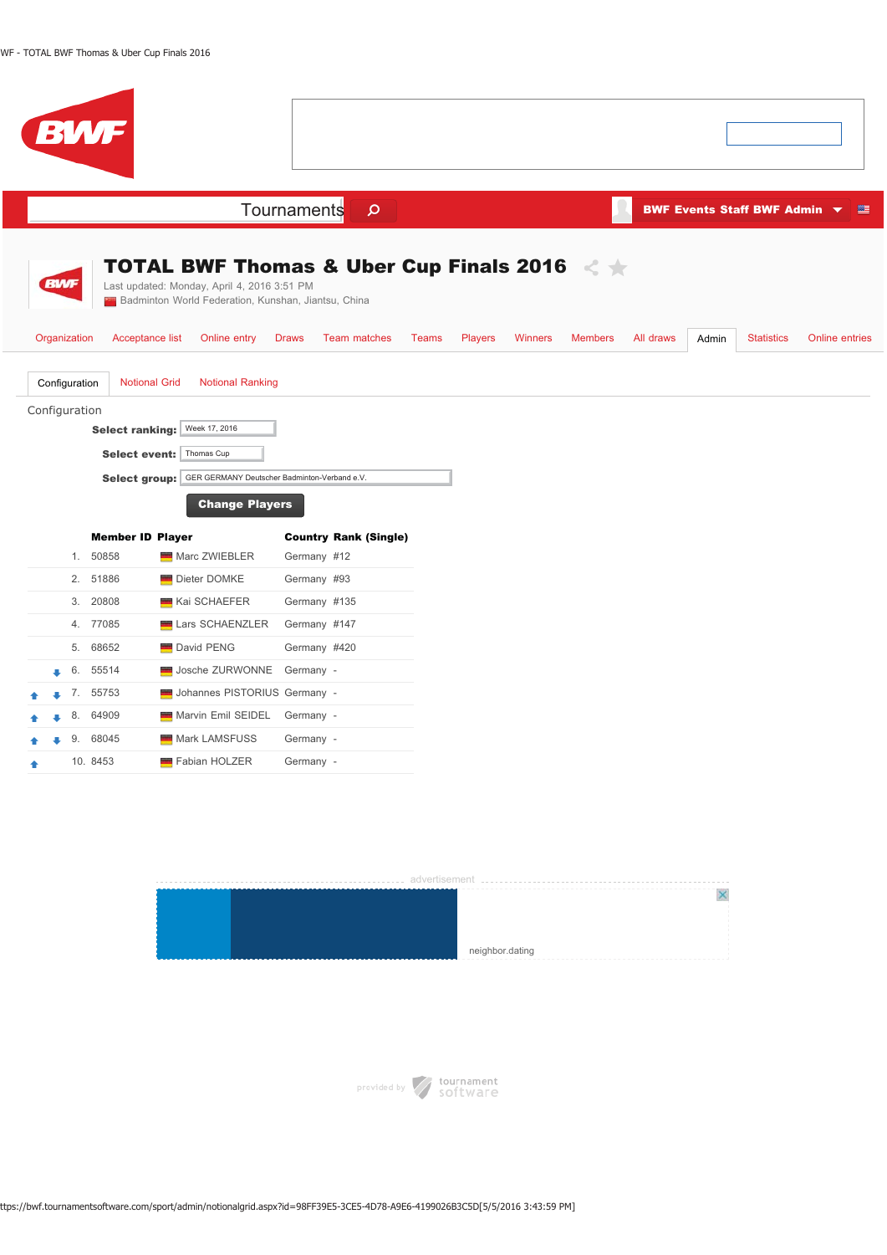| <b>BWF</b>                                                                                                                                                                                                                                                          |                                                                                                                                                                    |                                                           |
|---------------------------------------------------------------------------------------------------------------------------------------------------------------------------------------------------------------------------------------------------------------------|--------------------------------------------------------------------------------------------------------------------------------------------------------------------|-----------------------------------------------------------|
|                                                                                                                                                                                                                                                                     | Tournaments<br>$\mathbf{\Omega}$                                                                                                                                   | <b>BWF Events Staff BWF Admin</b><br>壁                    |
| <b>BWF</b><br>Last updated: Monday, April 4, 2016 3:51 PM<br><b>22</b> Badminton World Federation, Kunshan, Jiantsu, China<br>Organization<br>Acceptance list<br>Online entry                                                                                       | <b>TOTAL BWF Thomas &amp; Uber Cup Finals 2016</b> < $\star$<br><b>Draws</b><br>Team matches<br><b>Teams</b><br><b>Players</b><br><b>Winners</b><br><b>Members</b> | All draws<br>Admin<br><b>Statistics</b><br>Online entries |
| Configuration<br><b>Notional Grid</b><br><b>Notional Ranking</b><br>Configuration<br>Week 17, 2016<br><b>Select ranking:</b><br>Thomas Cup<br><b>Select event:</b><br>GER GERMANY Deutscher Badminton-Verband e.V.<br><b>Select group:</b><br><b>Change Players</b> |                                                                                                                                                                    |                                                           |
| <b>Member ID Player</b>                                                                                                                                                                                                                                             | <b>Country Rank (Single)</b>                                                                                                                                       |                                                           |
| 1. 50858<br>Marc ZWIEBLER                                                                                                                                                                                                                                           | Germany #12                                                                                                                                                        |                                                           |
| 51886<br>2.<br>Dieter DOMKE                                                                                                                                                                                                                                         | Germany #93                                                                                                                                                        |                                                           |
| 3.<br>20808<br>Kai SCHAEFER                                                                                                                                                                                                                                         | Germany #135                                                                                                                                                       |                                                           |
| 77085<br>Lars SCHAENZLER<br>4.                                                                                                                                                                                                                                      | Germany #147                                                                                                                                                       |                                                           |
| 68652<br>David PENG<br>5.                                                                                                                                                                                                                                           | Germany #420                                                                                                                                                       |                                                           |
| Josche ZURWONNE<br>55514<br>6.<br>õ                                                                                                                                                                                                                                 | Germany -                                                                                                                                                          |                                                           |
| Johannes PISTORIUS Germany -<br>7. 55753                                                                                                                                                                                                                            |                                                                                                                                                                    |                                                           |
| 64909<br>Marvin Emil SEIDEL<br>8.                                                                                                                                                                                                                                   | Germany -                                                                                                                                                          |                                                           |
| 9.<br>68045<br>Mark LAMSFUSS                                                                                                                                                                                                                                        | Germany -                                                                                                                                                          |                                                           |





ttps://bwf.tournamentsoftware.com/sport/admin/notionalgrid.aspx?id=98FF39E5-3CE5-4D78-A9E6-4199026B3C5D[5/5/2016 3:43:59 PM]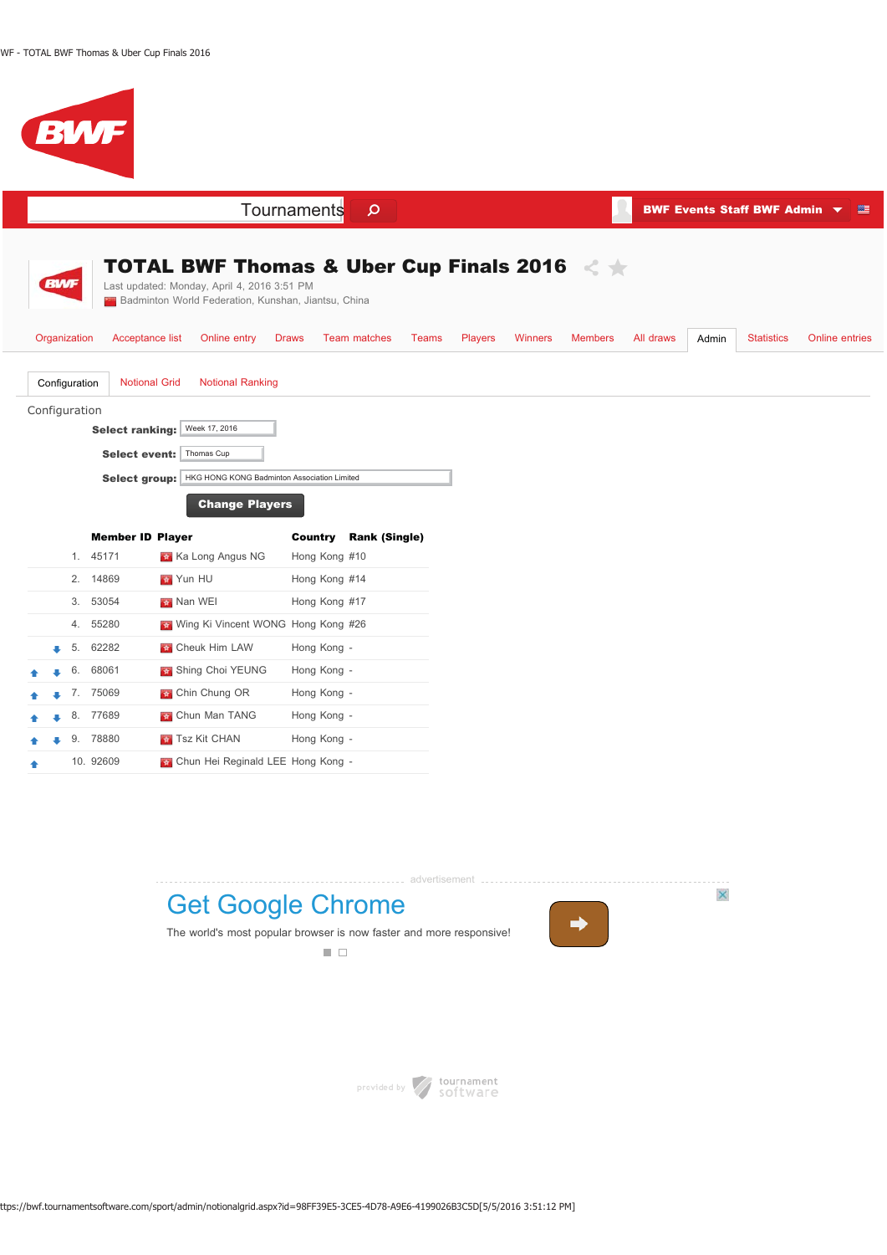



provided by software

ttps://bwf.tournamentsoftware.com/sport/admin/notionalgrid.aspx?id=98FF39E5-3CE5-4D78-A9E6-4199026B3C5D[5/5/2016 3:51:12 PM]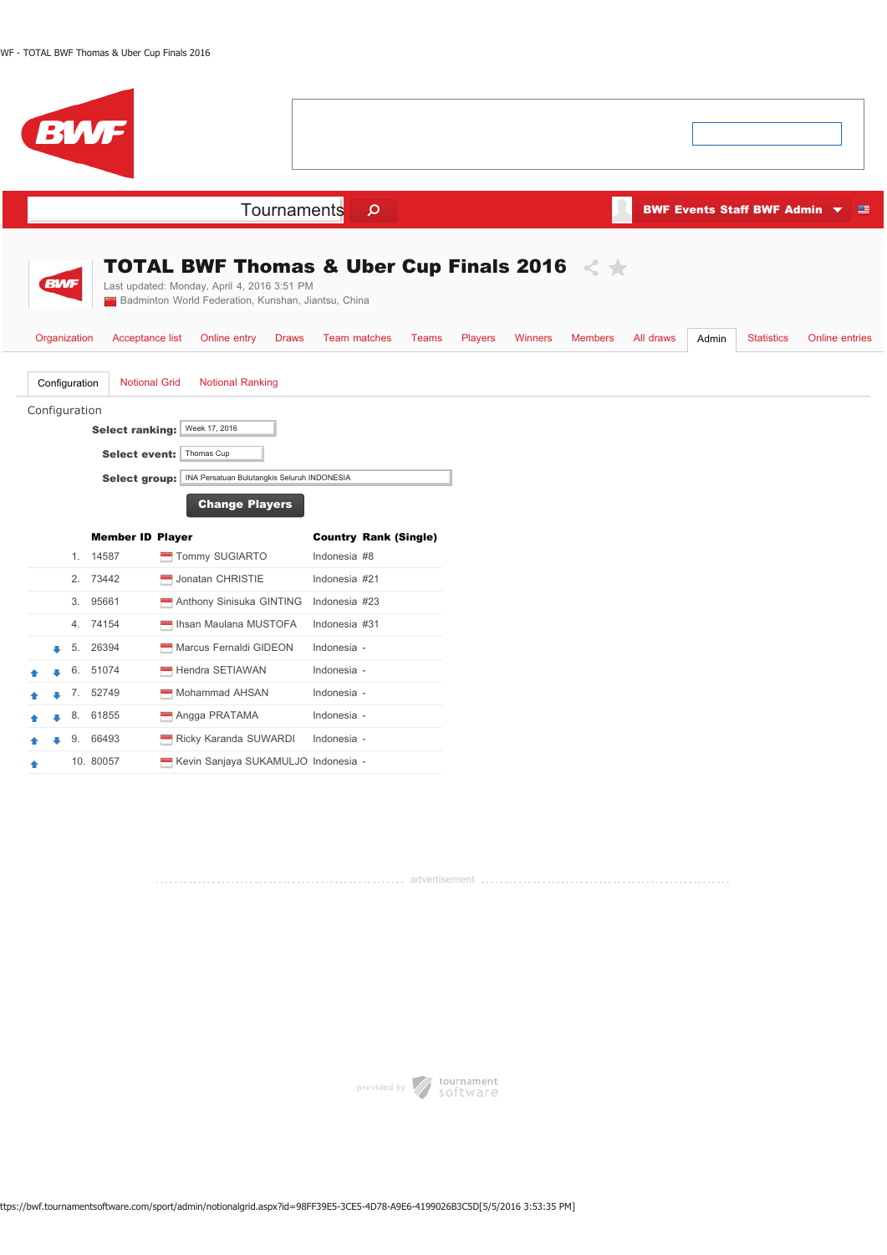| <b>BWF</b>                                                                                                                                                                                                                                                      |                                                                                                        |                                  |                    |                                                                        |
|-----------------------------------------------------------------------------------------------------------------------------------------------------------------------------------------------------------------------------------------------------------------|--------------------------------------------------------------------------------------------------------|----------------------------------|--------------------|------------------------------------------------------------------------|
|                                                                                                                                                                                                                                                                 | Tournaments<br>$\mathbf{\Omega}$                                                                       |                                  |                    | <b>BWF Events Staff BWF Admin <math>\blacktriangledown</math></b><br>壁 |
| <b>BWF</b><br>Last updated: Monday, April 4, 2016 3:51 PM<br>Badminton World Federation, Kunshan, Jiantsu, China                                                                                                                                                | TOTAL BWF Thomas & Uber Cup Finals 2016 $\,$ $\,$ $\,$                                                 |                                  |                    |                                                                        |
| Organization<br>Acceptance list<br>Online entry<br><b>Notional Grid</b><br>Configuration<br><b>Notional Ranking</b><br>Configuration<br>Week 17, 2016<br><b>Select ranking:</b><br>Select event:<br>Thomas Cup<br><b>Select group:</b><br><b>Change Players</b> | Team matches<br><b>Draws</b><br>Teams<br><b>Players</b><br>INA Persatuan Bulutangkis Seluruh INDONESIA | <b>Members</b><br><b>Winners</b> | All draws<br>Admin | <b>Statistics</b><br>Online entries                                    |
| <b>Member ID Player</b>                                                                                                                                                                                                                                         | <b>Country Rank (Single)</b>                                                                           |                                  |                    |                                                                        |
| 1. 14587<br>Tommy SUGIARTO                                                                                                                                                                                                                                      | Indonesia #8                                                                                           |                                  |                    |                                                                        |
| 2.<br>73442<br>Jonatan CHRISTIE                                                                                                                                                                                                                                 | Indonesia #21                                                                                          |                                  |                    |                                                                        |
| 3.<br>95661<br>Anthony Sinisuka GINTING                                                                                                                                                                                                                         | Indonesia #23                                                                                          |                                  |                    |                                                                        |
| Ihsan Maulana MUSTOFA<br>4.<br>74154                                                                                                                                                                                                                            | Indonesia #31                                                                                          |                                  |                    |                                                                        |
| Marcus Fernaldi GIDEON<br>26394<br>5.                                                                                                                                                                                                                           | Indonesia -                                                                                            |                                  |                    |                                                                        |
| 6.<br>51074<br>Hendra SETIAWAN                                                                                                                                                                                                                                  | Indonesia -                                                                                            |                                  |                    |                                                                        |
| 7. 52749<br>Mohammad AHSAN                                                                                                                                                                                                                                      | Indonesia -                                                                                            |                                  |                    |                                                                        |
| 61855<br>Angga PRATAMA<br>8.                                                                                                                                                                                                                                    | Indonesia -                                                                                            |                                  |                    |                                                                        |
| 66493<br>Ricky Karanda SUWARDI<br>9.                                                                                                                                                                                                                            | Indonesia -                                                                                            |                                  |                    |                                                                        |
| Kevin Sanjaya SUKAMULJO Indonesia -<br>10. 80057                                                                                                                                                                                                                |                                                                                                        |                                  |                    |                                                                        |

advertisement

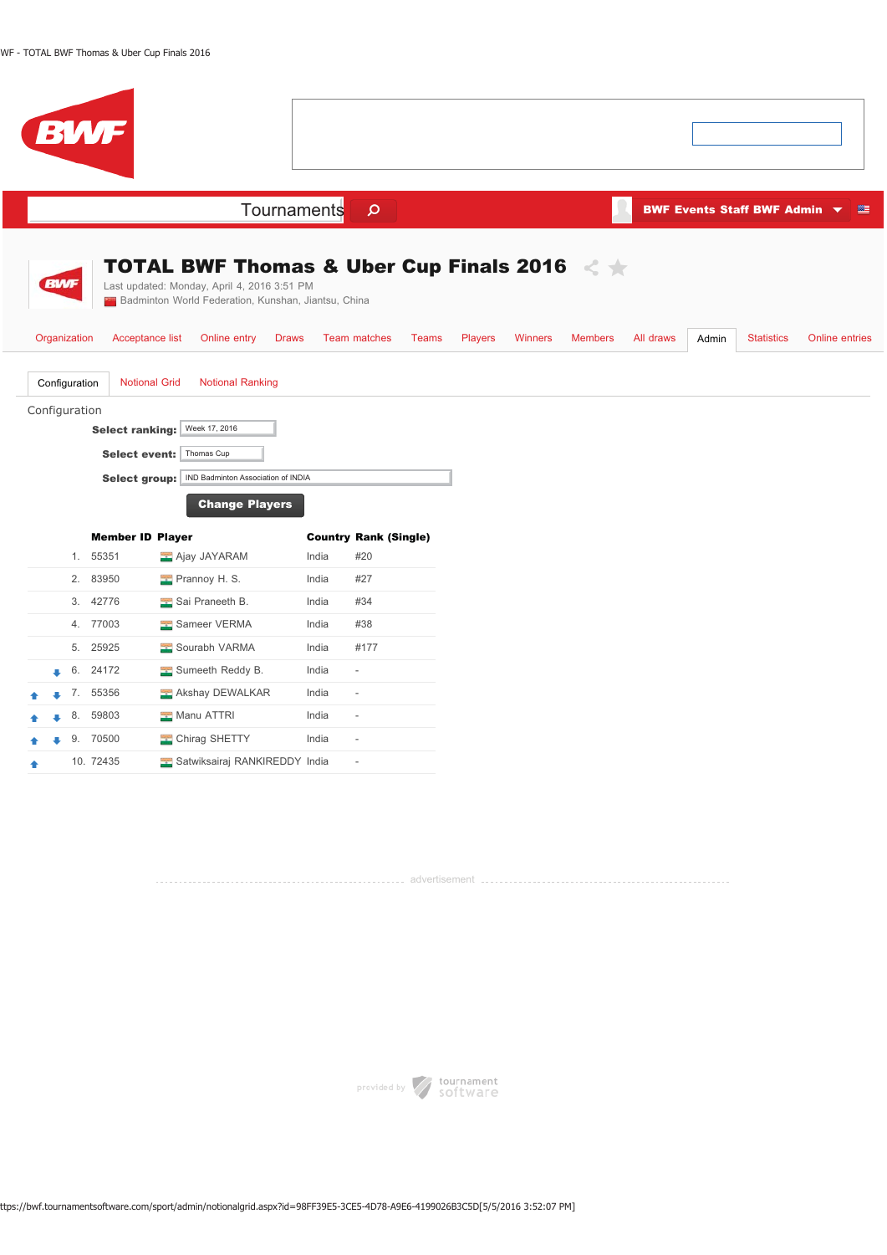|            |                               | <b>BWF</b>                                                      |                                                                                                                                                                                                                     |       |                              |                |                |                |           |       |                                                 |                       |
|------------|-------------------------------|-----------------------------------------------------------------|---------------------------------------------------------------------------------------------------------------------------------------------------------------------------------------------------------------------|-------|------------------------------|----------------|----------------|----------------|-----------|-------|-------------------------------------------------|-----------------------|
|            |                               |                                                                 | Tournaments                                                                                                                                                                                                         |       | $\mathsf{\Omega}$            |                |                |                |           |       | BWF Events Staff BWF Admin $\blacktriangledown$ | 壅                     |
| <b>BWF</b> | Organization<br>Configuration | Acceptance list<br><b>Notional Grid</b>                         | <b>TOTAL BWF Thomas &amp; Uber Cup Finals 2016</b><br>Last updated: Monday, April 4, 2016 3:51 PM<br>Badminton World Federation, Kunshan, Jiantsu, China<br>Online entry<br><b>Draws</b><br><b>Notional Ranking</b> |       | <b>Team matches</b><br>Teams | <b>Players</b> | <b>Winners</b> | <b>Members</b> | All draws | Admin | <b>Statistics</b>                               | <b>Online entries</b> |
|            | Configuration                 | <b>Select ranking:</b><br>Select event:<br><b>Select group:</b> | Week 17, 2016<br>Thomas Cup<br>IND Badminton Association of INDIA<br><b>Change Players</b>                                                                                                                          |       |                              |                |                |                |           |       |                                                 |                       |
|            |                               | <b>Member ID Player</b>                                         |                                                                                                                                                                                                                     |       | <b>Country Rank (Single)</b> |                |                |                |           |       |                                                 |                       |
|            | 1.                            | 55351                                                           | Ajay JAYARAM                                                                                                                                                                                                        | India | #20                          |                |                |                |           |       |                                                 |                       |
|            | 2.                            | 83950                                                           | Prannoy H. S.                                                                                                                                                                                                       | India | #27                          |                |                |                |           |       |                                                 |                       |
|            | 3.                            | 42776                                                           | Sai Praneeth B.                                                                                                                                                                                                     | India | #34                          |                |                |                |           |       |                                                 |                       |
|            |                               | 4. 77003                                                        | Sameer VERMA                                                                                                                                                                                                        | India | #38                          |                |                |                |           |       |                                                 |                       |
|            | 5.                            | 25925                                                           | Sourabh VARMA                                                                                                                                                                                                       | India | #177                         |                |                |                |           |       |                                                 |                       |
|            |                               | 6. 24172                                                        | Sumeeth Reddy B.                                                                                                                                                                                                    | India | $\sim$                       |                |                |                |           |       |                                                 |                       |
|            | 7.                            | 55356                                                           | Akshay DEWALKAR                                                                                                                                                                                                     | India | $\sim$                       |                |                |                |           |       |                                                 |                       |
|            | 8.                            | 59803                                                           | Manu ATTRI                                                                                                                                                                                                          | India | $\sim$                       |                |                |                |           |       |                                                 |                       |
|            | 9.                            | 70500                                                           | Chirag SHETTY                                                                                                                                                                                                       | India | $\overline{\phantom{a}}$     |                |                |                |           |       |                                                 |                       |
|            |                               | 10. 72435                                                       | Satwiksairaj RANKIREDDY India                                                                                                                                                                                       |       | $\overline{\phantom{a}}$     |                |                |                |           |       |                                                 |                       |

advertisement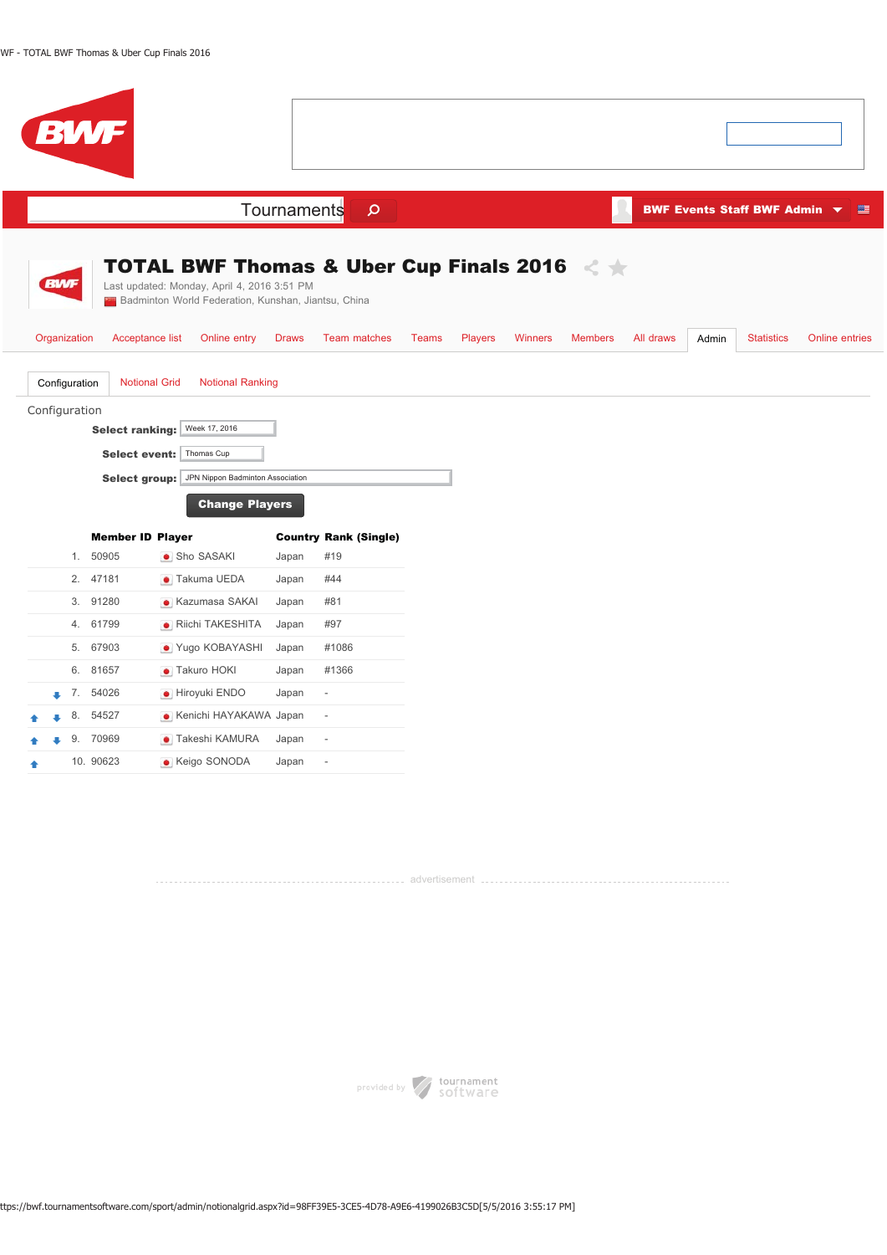|  |                                | <b>BWF</b>                                                      |                                                                                                                                                                          |              |                              |       |                |                |                |           |       |                                                 |                       |
|--|--------------------------------|-----------------------------------------------------------------|--------------------------------------------------------------------------------------------------------------------------------------------------------------------------|--------------|------------------------------|-------|----------------|----------------|----------------|-----------|-------|-------------------------------------------------|-----------------------|
|  |                                |                                                                 |                                                                                                                                                                          | Tournaments  | $\mathsf{\Omega}$            |       |                |                |                |           |       | BWF Events Staff BWF Admin $\blacktriangledown$ | 準                     |
|  | <b>BWF</b><br>Organization     | Acceptance list                                                 | <b>TOTAL BWF Thomas &amp; Uber Cup Finals 2016</b><br>Last updated: Monday, April 4, 2016 3:51 PM<br>Badminton World Federation, Kunshan, Jiantsu, China<br>Online entry | <b>Draws</b> | <b>Team matches</b>          | Teams | <b>Players</b> | <b>Winners</b> | <b>Members</b> | All draws | Admin | <b>Statistics</b>                               | <b>Online entries</b> |
|  | Configuration<br>Configuration | <b>Notional Grid</b><br><b>Select ranking:</b><br>Select group: | <b>Notional Ranking</b><br>Week 17, 2016<br>Select event: Thomas Cup<br>JPN Nippon Badminton Association<br><b>Change Players</b>                                        |              |                              |       |                |                |                |           |       |                                                 |                       |
|  |                                | <b>Member ID Player</b>                                         |                                                                                                                                                                          |              | <b>Country Rank (Single)</b> |       |                |                |                |           |       |                                                 |                       |
|  | 1.                             | 50905                                                           | • Sho SASAKI                                                                                                                                                             | Japan        | #19                          |       |                |                |                |           |       |                                                 |                       |
|  |                                | 2. 47181                                                        | • Takuma UEDA                                                                                                                                                            | Japan        | #44                          |       |                |                |                |           |       |                                                 |                       |
|  | 3.                             | 91280                                                           | • Kazumasa SAKAI                                                                                                                                                         | Japan        | #81                          |       |                |                |                |           |       |                                                 |                       |
|  |                                | 4. 61799                                                        | • Riichi TAKESHITA                                                                                                                                                       | Japan        | #97                          |       |                |                |                |           |       |                                                 |                       |
|  | 5.                             | 67903                                                           | • Yugo KOBAYASHI                                                                                                                                                         | Japan        | #1086                        |       |                |                |                |           |       |                                                 |                       |
|  |                                | 6. 81657                                                        | • Takuro HOKI                                                                                                                                                            | Japan        | #1366                        |       |                |                |                |           |       |                                                 |                       |
|  | 7.                             | 54026                                                           | · Hiroyuki ENDO                                                                                                                                                          | Japan        | $\overline{\phantom{a}}$     |       |                |                |                |           |       |                                                 |                       |
|  | 8.                             | 54527                                                           | • Kenichi HAYAKAWA Japan                                                                                                                                                 |              | $\frac{1}{2}$                |       |                |                |                |           |       |                                                 |                       |
|  | 9.                             | 70969                                                           | • Takeshi KAMURA                                                                                                                                                         | Japan        | $\overline{\phantom{m}}$     |       |                |                |                |           |       |                                                 |                       |
|  |                                | 10. 90623                                                       | • Keigo SONODA                                                                                                                                                           | Japan        | $\overline{\phantom{a}}$     |       |                |                |                |           |       |                                                 |                       |

advertisement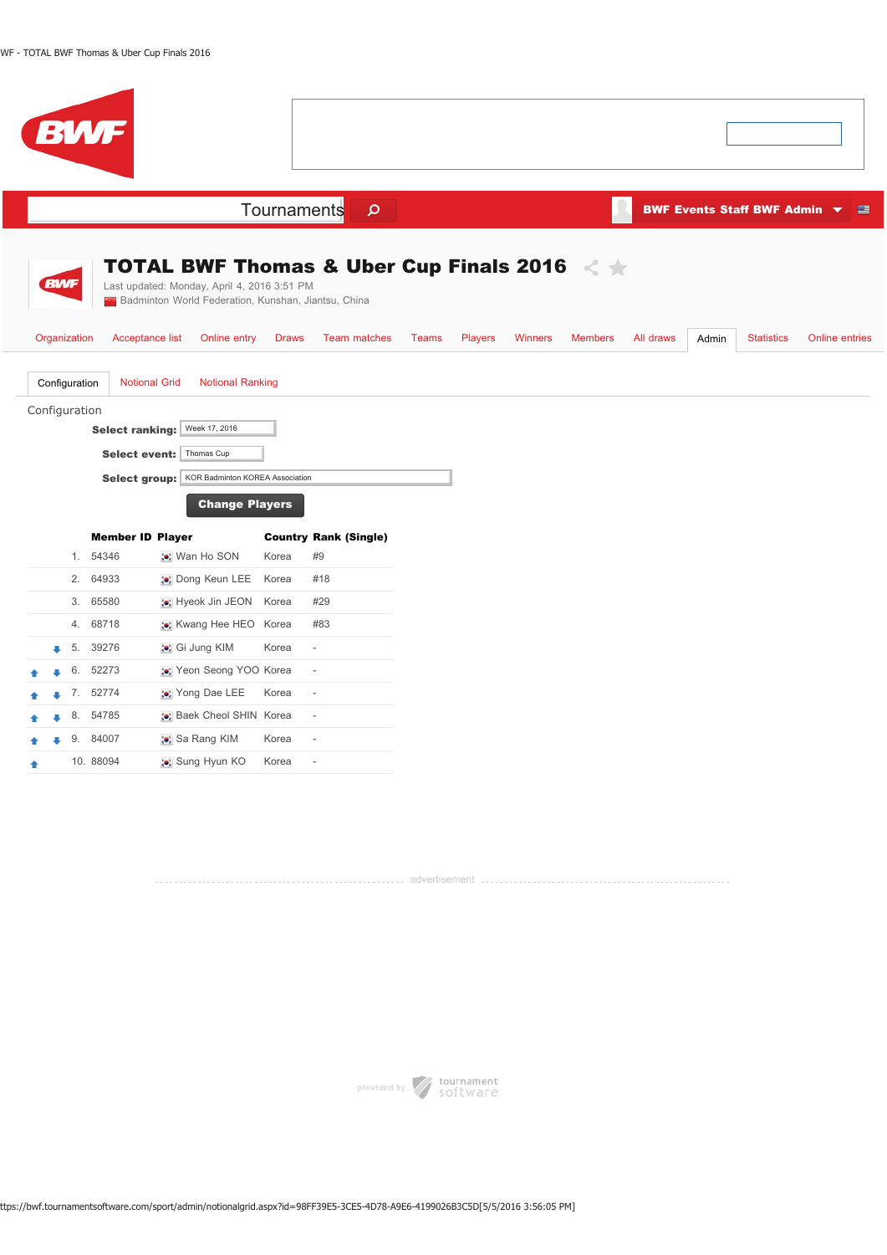| <b>BWF</b>                                                                                                                                                                                                                              |                                                                |                                                                                               |
|-----------------------------------------------------------------------------------------------------------------------------------------------------------------------------------------------------------------------------------------|----------------------------------------------------------------|-----------------------------------------------------------------------------------------------|
|                                                                                                                                                                                                                                         | Tournaments<br>$\mathsf{\Omega}$                               | <b>BWF Events Staff BWF Admin <math>\blacktriangledown</math></b><br>等                        |
| <b>BWF</b><br>Last updated: Monday, April 4, 2016 3:51 PM<br><b>24</b> Badminton World Federation, Kunshan, Jiantsu, China                                                                                                              | <b>TOTAL BWF Thomas &amp; Uber Cup Finals 2016</b>             |                                                                                               |
| Organization<br>Acceptance list<br>Online entry                                                                                                                                                                                         | <b>Draws</b><br>Team matches<br><b>Teams</b><br><b>Players</b> | <b>Statistics</b><br>Winners<br><b>Members</b><br>All draws<br><b>Online entries</b><br>Admin |
| <b>Notional Grid</b><br><b>Notional Ranking</b><br>Configuration<br>Configuration<br>Week 17, 2016<br>Select ranking:<br>Select event:   Thomas Cup<br>KOR Badminton KOREA Association<br><b>Select group:</b><br><b>Change Players</b> |                                                                |                                                                                               |
| <b>Member ID Player</b><br>54346<br>1.<br>: Wan Ho SON                                                                                                                                                                                  | <b>Country Rank (Single)</b><br>#9<br>Korea                    |                                                                                               |
| 64933<br>2.<br>: Dong Keun LEE                                                                                                                                                                                                          | #18<br>Korea                                                   |                                                                                               |
| 65580<br>3.<br>: Hyeok Jin JEON                                                                                                                                                                                                         | #29<br>Korea                                                   |                                                                                               |
| 4.<br>68718<br>:•: Kwang Hee HEO Korea                                                                                                                                                                                                  | #83                                                            |                                                                                               |
| 5.<br>39276<br>: Gi Jung KIM                                                                                                                                                                                                            | Korea<br>$\overline{a}$                                        |                                                                                               |
| 52273<br>:•: Yeon Seong YOO Korea<br>6.                                                                                                                                                                                                 | $\overline{\phantom{a}}$                                       |                                                                                               |
| 7.<br>52774<br>:•: Yong Dae LEE                                                                                                                                                                                                         | Korea<br>$\overline{\phantom{a}}$                              |                                                                                               |
| 8. 54785<br>:•: Baek Cheol SHIN Korea                                                                                                                                                                                                   | $\overline{\phantom{a}}$                                       |                                                                                               |
| 9.<br>84007<br>∴ Sa Rang KIM                                                                                                                                                                                                            | Korea<br>$\overline{\phantom{a}}$                              |                                                                                               |
| 10. 88094<br>: Sung Hyun KO                                                                                                                                                                                                             | Korea<br>$\overline{\phantom{a}}$                              |                                                                                               |

advertisement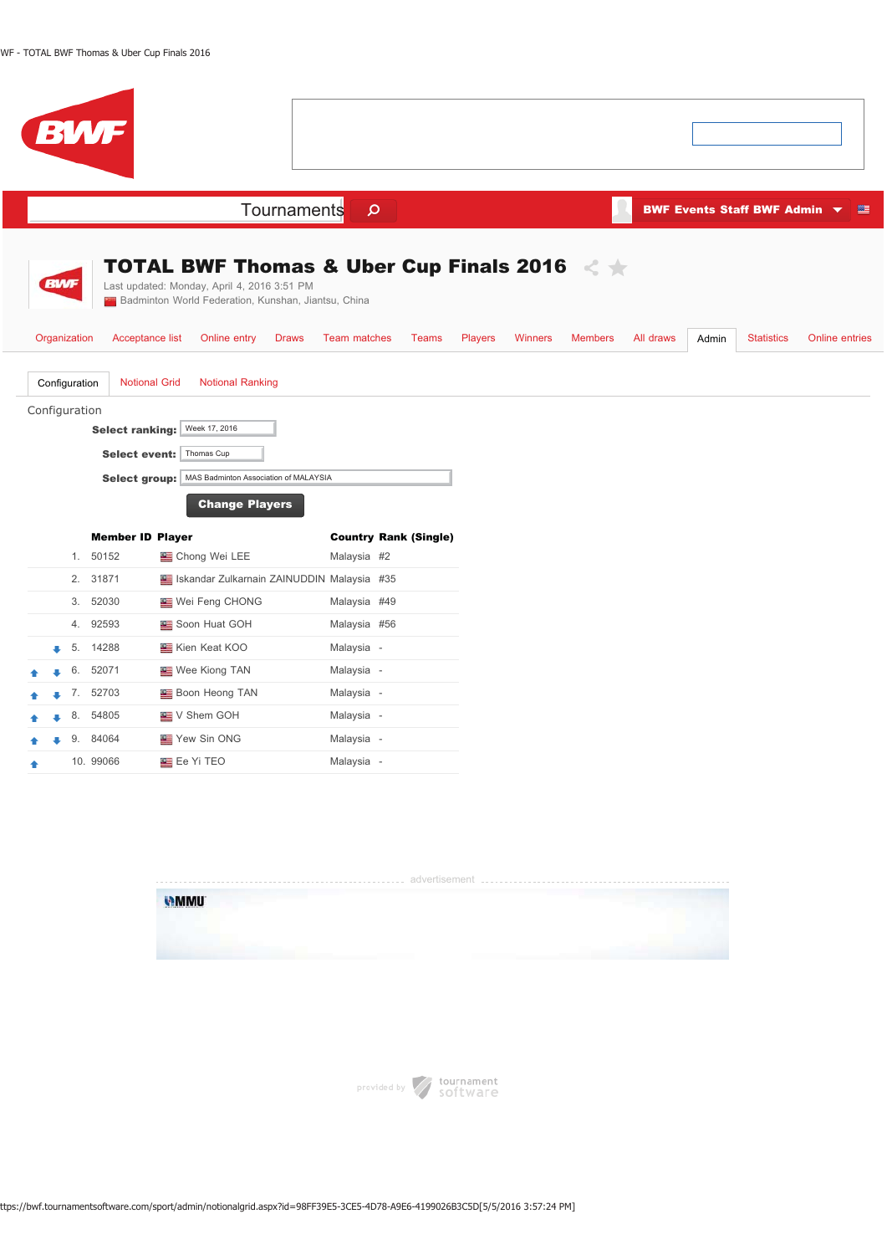$\overline{\phantom{a}}$ 

|  |                                | BW                                                                     |                                                                                                                                                                                          |                     |                              |                |                |                |           |       |                              |                |
|--|--------------------------------|------------------------------------------------------------------------|------------------------------------------------------------------------------------------------------------------------------------------------------------------------------------------|---------------------|------------------------------|----------------|----------------|----------------|-----------|-------|------------------------------|----------------|
|  |                                |                                                                        | Tournaments                                                                                                                                                                              | $\mathsf{\Omega}$   |                              |                |                |                |           |       | BWF Events Staff BWF Admin ▼ | 壁              |
|  | <b>BWF</b><br>Organization     | Acceptance list                                                        | <b>TOTAL BWF Thomas &amp; Uber Cup Finals 2016</b><br>Last updated: Monday, April 4, 2016 3:51 PM<br>Badminton World Federation, Kunshan, Jiantsu, China<br>Online entry<br><b>Draws</b> | <b>Team matches</b> | <b>Teams</b>                 | <b>Players</b> | <b>Winners</b> | <b>Members</b> | All draws | Admin | <b>Statistics</b>            | Online entries |
|  | Configuration<br>Configuration | <b>Select ranking:</b><br><b>Select event:</b><br><b>Select group:</b> | <b>Notional Grid</b><br><b>Notional Ranking</b><br>Week 17, 2016<br>Thomas Cup<br>MAS Badminton Association of MALAYSIA<br><b>Change Players</b>                                         |                     |                              |                |                |                |           |       |                              |                |
|  |                                | <b>Member ID Player</b>                                                |                                                                                                                                                                                          |                     | <b>Country Rank (Single)</b> |                |                |                |           |       |                              |                |
|  |                                | 1. 50152                                                               | Chong Wei LEE                                                                                                                                                                            | Malaysia #2         |                              |                |                |                |           |       |                              |                |
|  | 2.                             | 31871                                                                  | Iskandar Zulkarnain ZAINUDDIN Malaysia #35                                                                                                                                               |                     |                              |                |                |                |           |       |                              |                |
|  | 3.                             | 52030                                                                  | Wei Feng CHONG                                                                                                                                                                           | Malaysia #49        |                              |                |                |                |           |       |                              |                |
|  | 4.                             | 92593                                                                  | Soon Huat GOH                                                                                                                                                                            | Malaysia #56        |                              |                |                |                |           |       |                              |                |
|  | 5.                             | 14288                                                                  | <b>EXAMPLE Kien Keat KOO</b>                                                                                                                                                             | Malaysia -          |                              |                |                |                |           |       |                              |                |
|  | 6.                             | 52071                                                                  | <b>Wee Kiong TAN</b>                                                                                                                                                                     | Malaysia -          |                              |                |                |                |           |       |                              |                |
|  |                                | 7. 52703                                                               | <b>Boon Heong TAN</b>                                                                                                                                                                    | Malaysia -          |                              |                |                |                |           |       |                              |                |
|  | 8.                             | 54805                                                                  | V Shem GOH                                                                                                                                                                               | Malaysia -          |                              |                |                |                |           |       |                              |                |
|  | 9.                             | 84064                                                                  | Yew Sin ONG                                                                                                                                                                              | Malaysia -          |                              |                |                |                |           |       |                              |                |
|  |                                | 10. 99066                                                              | Ee Yi TEO                                                                                                                                                                                | Malaysia -          |                              |                |                |                |           |       |                              |                |



provided by software

ttps://bwf.tournamentsoftware.com/sport/admin/notionalgrid.aspx?id=98FF39E5-3CE5-4D78-A9E6-4199026B3C5D[5/5/2016 3:57:24 PM]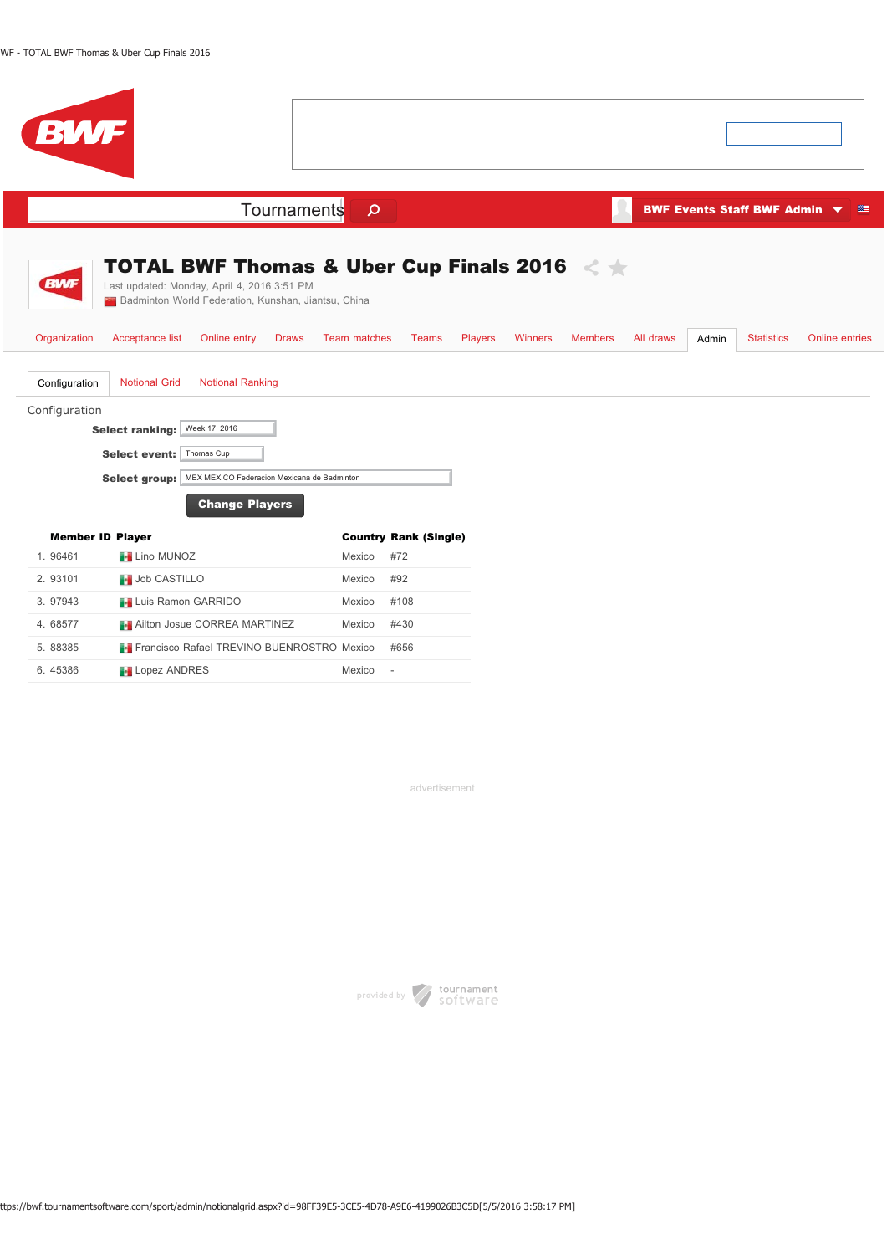| BWF                                                                                                                                                                                                                                       |                                         |                                  |                    |                                                      |
|-------------------------------------------------------------------------------------------------------------------------------------------------------------------------------------------------------------------------------------------|-----------------------------------------|----------------------------------|--------------------|------------------------------------------------------|
| Tournaments                                                                                                                                                                                                                               | $\mathsf{Q}$                            |                                  |                    | BWF Events Staff BWF Admin $\blacktriangledown$<br>壁 |
| <b>TOTAL BWF Thomas &amp; Uber Cup Finals 2016</b><br><b>BWF</b><br>Last updated: Monday, April 4, 2016 3:51 PM<br>Badminton World Federation, Kunshan, Jiantsu, China<br>Organization<br>Acceptance list<br>Online entry<br><b>Draws</b> | <b>Team matches</b><br>Players<br>Teams | <b>Winners</b><br><b>Members</b> | All draws<br>Admin | <b>Statistics</b><br><b>Online entries</b>           |
| <b>Notional Ranking</b><br>Configuration<br><b>Notional Grid</b><br>Configuration<br>Week 17, 2016<br><b>Select ranking:</b><br>Select event:   Thomas Cup<br>MEX MEXICO Federacion Mexicana de Badminton<br><b>Select group:</b>         |                                         |                                  |                    |                                                      |
| <b>Change Players</b><br><b>Member ID Player</b>                                                                                                                                                                                          | <b>Country Rank (Single)</b>            |                                  |                    |                                                      |
| 1.96461<br><b>F</b> Lino MUNOZ                                                                                                                                                                                                            | #72<br>Mexico                           |                                  |                    |                                                      |
| 2.93101<br><b>Job CASTILLO</b>                                                                                                                                                                                                            | #92<br>Mexico                           |                                  |                    |                                                      |
| 3. 97943<br><b>Luis Ramon GARRIDO</b><br>4.68577<br><b>Ailton Josue CORREA MARTINEZ</b>                                                                                                                                                   | #108<br>Mexico<br>#430<br>Mexico        |                                  |                    |                                                      |
| 5.88385<br><b>Francisco Rafael TREVINO BUENROSTRO Mexico</b>                                                                                                                                                                              | #656                                    |                                  |                    |                                                      |
| 6.45386<br><b>Lopez ANDRES</b>                                                                                                                                                                                                            | Mexico<br>$\sim$                        |                                  |                    |                                                      |

advertisement

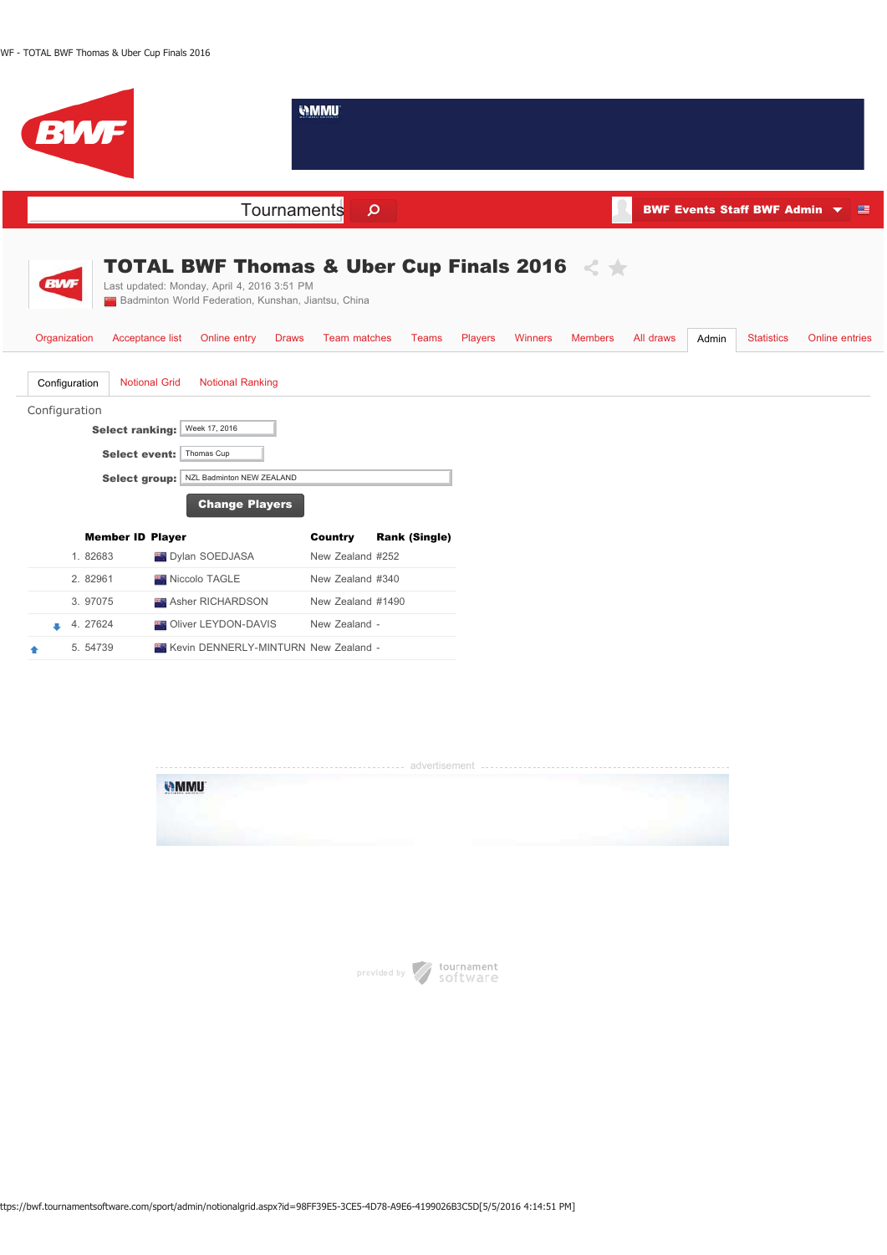





ttps://bwf.tournamentsoftware.com/sport/admin/notionalgrid.aspx?id=98FF39E5-3CE5-4D78-A9E6-4199026B3C5D[5/5/2016 4:14:51 PM]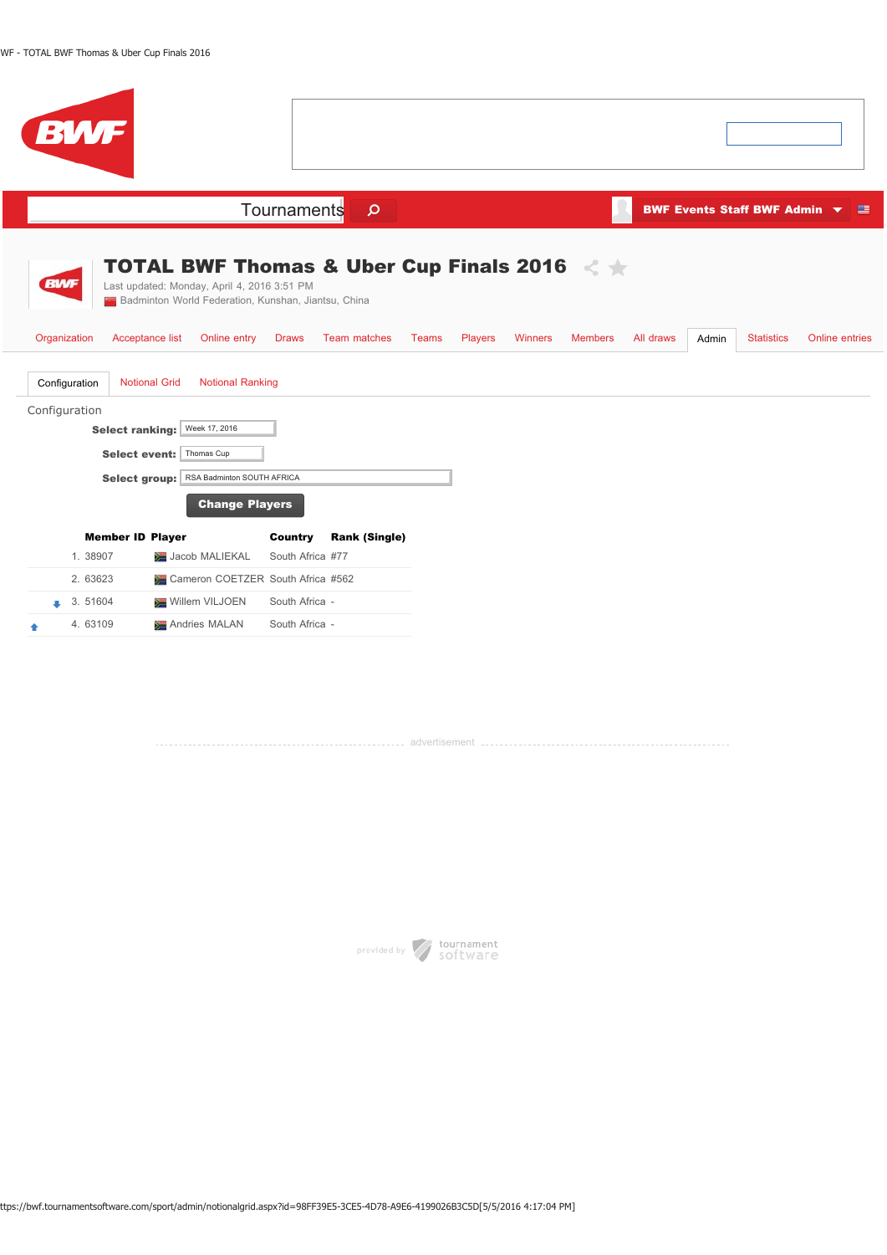| BWF                                                                                                                                                      |                                                                                                                                                                      |                                           |                             |                                     |                       |
|----------------------------------------------------------------------------------------------------------------------------------------------------------|----------------------------------------------------------------------------------------------------------------------------------------------------------------------|-------------------------------------------|-----------------------------|-------------------------------------|-----------------------|
|                                                                                                                                                          | Tournaments<br>$\mathsf{\Omega}$                                                                                                                                     |                                           |                             | <b>BWF Events Staff BWF Admin ▼</b> |                       |
| <b>BWF</b><br>Last updated: Monday, April 4, 2016 3:51 PM<br>Organization<br>Acceptance list                                                             | <b>TOTAL BWF Thomas &amp; Uber Cup Finals 2016</b><br><b>EXT</b> Badminton World Federation, Kunshan, Jiantsu, China<br>Online entry<br>Team matches<br><b>Draws</b> | <b>Winners</b><br>Teams<br><b>Players</b> | <b>Members</b><br>All draws | <b>Statistics</b><br>Admin          | <b>Online entries</b> |
| <b>Notional Grid</b><br>Configuration<br>Configuration<br>Week 17, 2016<br><b>Select ranking:</b><br>Thomas Cup<br><b>Select event:</b><br>Select group: | <b>Notional Ranking</b><br>RSA Badminton SOUTH AFRICA<br><b>Change Players</b>                                                                                       |                                           |                             |                                     |                       |
| <b>Member ID Player</b><br>1.38907<br>Jacob MALIEKAL<br>2. 63623<br>3.51604<br>Willem VILJOEN<br>4.63109<br>Andries MALAN                                | <b>Rank (Single)</b><br>Country<br>South Africa #77<br>Cameron COETZER South Africa #562<br>South Africa -<br>South Africa -                                         |                                           |                             |                                     |                       |

advertisement and the control of the control of the control of the control of the control of the control of th

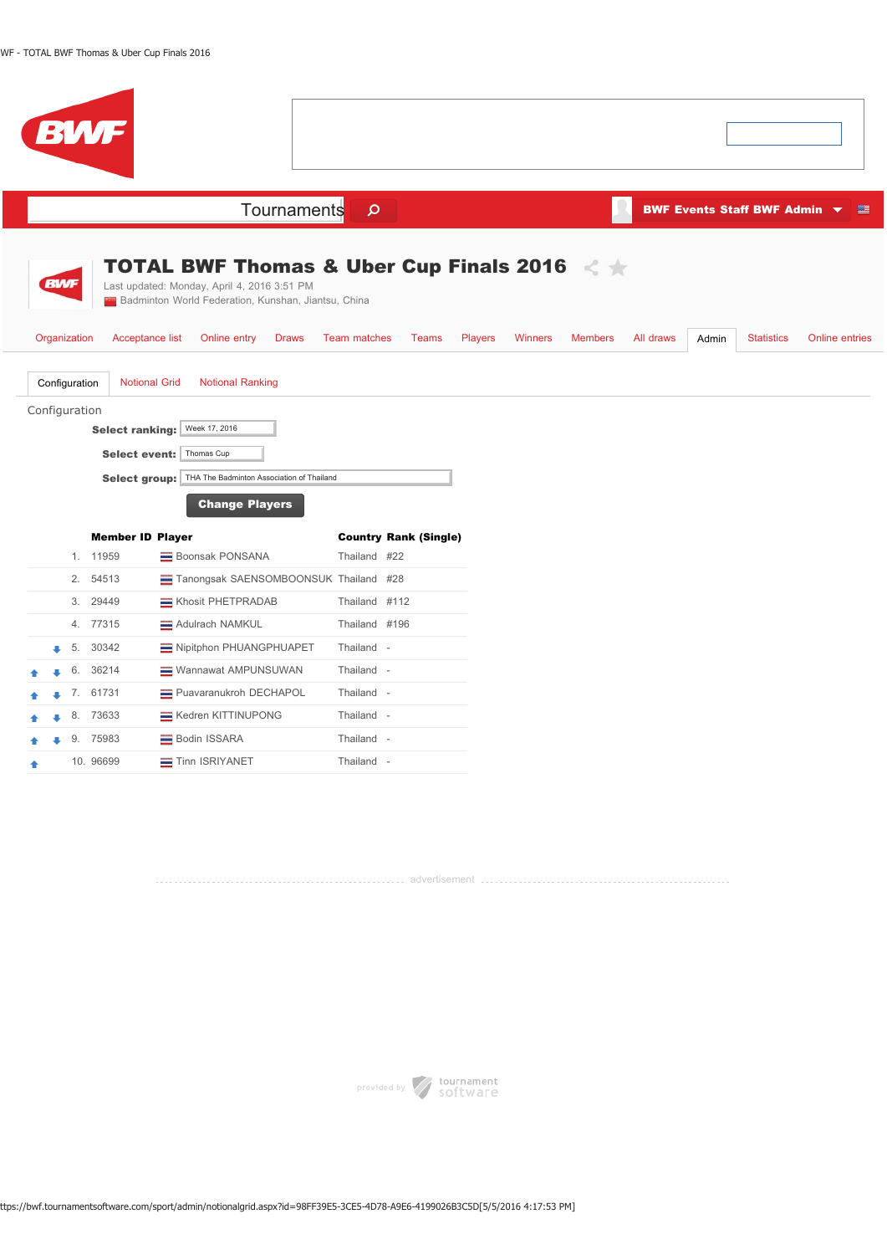| <b>BWF</b>                                                                                                                                                                                                                                                       |                                                                                                                                      |                                                                             |  |  |  |  |  |  |  |  |
|------------------------------------------------------------------------------------------------------------------------------------------------------------------------------------------------------------------------------------------------------------------|--------------------------------------------------------------------------------------------------------------------------------------|-----------------------------------------------------------------------------|--|--|--|--|--|--|--|--|
| Tournaments                                                                                                                                                                                                                                                      | BWF Events Staff BWF Admin $\blacktriangledown$<br>壁                                                                                 |                                                                             |  |  |  |  |  |  |  |  |
| <b>BWF</b><br>Last updated: Monday, April 4, 2016 3:51 PM<br>Badminton World Federation, Kunshan, Jiantsu, China<br>Organization<br>Acceptance list<br>Online entry<br><b>Draws</b>                                                                              | <b>TOTAL BWF Thomas &amp; Uber Cup Finals 2016</b> $\leq$ $\neq$<br><b>Team matches</b><br><b>Teams</b><br><b>Players</b><br>Winners | <b>Members</b><br>All draws<br><b>Statistics</b><br>Online entries<br>Admin |  |  |  |  |  |  |  |  |
| <b>Notional Grid</b><br><b>Notional Ranking</b><br>Configuration<br>Configuration<br>Week 17, 2016<br><b>Select ranking:</b><br><b>Select event:</b><br>Thomas Cup<br>THA The Badminton Association of Thailand<br><b>Select group:</b><br><b>Change Players</b> |                                                                                                                                      |                                                                             |  |  |  |  |  |  |  |  |
| <b>Member ID Player</b>                                                                                                                                                                                                                                          | <b>Country Rank (Single)</b>                                                                                                         |                                                                             |  |  |  |  |  |  |  |  |
| 1. 11959<br>Boonsak PONSANA                                                                                                                                                                                                                                      | Thailand #22                                                                                                                         |                                                                             |  |  |  |  |  |  |  |  |
| 2.<br>54513<br>Tanongsak SAENSOMBOONSUK Thailand #28                                                                                                                                                                                                             |                                                                                                                                      |                                                                             |  |  |  |  |  |  |  |  |
| 29449<br>Khosit PHETPRADAB<br>3.                                                                                                                                                                                                                                 | Thailand #112                                                                                                                        |                                                                             |  |  |  |  |  |  |  |  |
| 77315<br>Adulrach NAMKUL<br>4.                                                                                                                                                                                                                                   | Thailand #196                                                                                                                        |                                                                             |  |  |  |  |  |  |  |  |
| Nipitphon PHUANGPHUAPET<br>30342<br>5.                                                                                                                                                                                                                           | Thailand -                                                                                                                           |                                                                             |  |  |  |  |  |  |  |  |
| 36214<br>Wannawat AMPUNSUWAN<br>6.                                                                                                                                                                                                                               | Thailand -                                                                                                                           |                                                                             |  |  |  |  |  |  |  |  |
| 7. 61731<br>Puavaranukroh DECHAPOL                                                                                                                                                                                                                               | Thailand -                                                                                                                           |                                                                             |  |  |  |  |  |  |  |  |
| 73633<br>Kedren KITTINUPONG<br>8.                                                                                                                                                                                                                                | Thailand -                                                                                                                           |                                                                             |  |  |  |  |  |  |  |  |
| 75983<br>Bodin ISSARA<br>9.                                                                                                                                                                                                                                      | Thailand -                                                                                                                           |                                                                             |  |  |  |  |  |  |  |  |
| 10. 96699<br>Tinn ISRIYANET                                                                                                                                                                                                                                      | Thailand -                                                                                                                           |                                                                             |  |  |  |  |  |  |  |  |

advertisement



ttps://bwf.tournamentsoftware.com/sport/admin/notionalgrid.aspx?id=98FF39E5-3CE5-4D78-A9E6-4199026B3C5D[5/5/2016 4:17:53 PM]